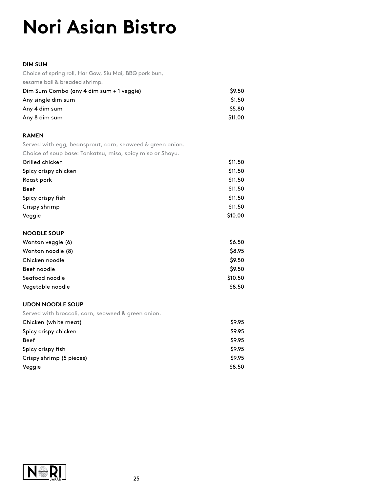# **Nori Asian Bistro**

### **DIM SUM**

Choice of spring roll, Har Gow, Siu Mai, BBQ pork bun, sesame ball & breaded shrimp.

| Dim Sum Combo (any 4 dim sum + 1 veggie) | \$9.50  |
|------------------------------------------|---------|
| Any single dim sum                       | \$1.50  |
| Any 4 dim sum                            | \$5.80  |
| Any 8 dim sum                            | \$11.00 |

## **RAMEN**

Served with egg, beansprout, corn, seaweed & green onion.

Choice of soup base: Tonkatsu, miso, spicy miso or Shoyu.

| Grilled chicken      | \$11.50 |
|----------------------|---------|
| Spicy crispy chicken | \$11.50 |
| Roast pork           | \$11.50 |
| <b>Beef</b>          | \$11.50 |
| Spicy crispy fish    | \$11.50 |
| Crispy shrimp        | \$11.50 |
| Veggie               | \$10.00 |

#### **NOODLE SOUP**

| Wonton veggie (6) | \$6.50  |
|-------------------|---------|
| Wonton noodle (8) | \$8.95  |
| Chicken noodle    | \$9.50  |
| Beef noodle       | \$9.50  |
| Seafood noodle    | \$10.50 |
| Vegetable noodle  | \$8.50  |

## **UDON NOODLE SOUP**

Served with broccoli, corn, seaweed & green onion.

| Chicken (white meat)     | \$9.95 |
|--------------------------|--------|
| Spicy crispy chicken     | \$9.95 |
| <b>Beef</b>              | \$9.95 |
| Spicy crispy fish        | \$9.95 |
| Crispy shrimp (5 pieces) | \$9.95 |
| Veggie                   | \$8.50 |